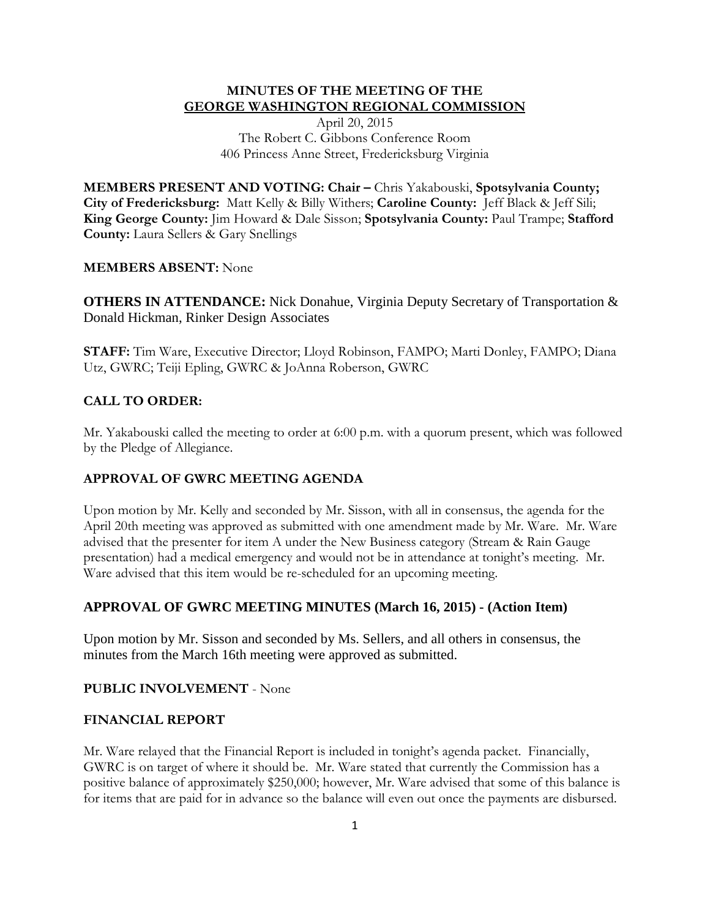## **MINUTES OF THE MEETING OF THE GEORGE WASHINGTON REGIONAL COMMISSION**

April 20, 2015 The Robert C. Gibbons Conference Room 406 Princess Anne Street, Fredericksburg Virginia

**MEMBERS PRESENT AND VOTING: Chair –** Chris Yakabouski, **Spotsylvania County; City of Fredericksburg:** Matt Kelly & Billy Withers; **Caroline County:** Jeff Black & Jeff Sili; **King George County:** Jim Howard & Dale Sisson; **Spotsylvania County:** Paul Trampe; **Stafford County:** Laura Sellers & Gary Snellings

## **MEMBERS ABSENT:** None

**OTHERS IN ATTENDANCE:** Nick Donahue, Virginia Deputy Secretary of Transportation & Donald Hickman, Rinker Design Associates

**STAFF:** Tim Ware, Executive Director; Lloyd Robinson, FAMPO; Marti Donley, FAMPO; Diana Utz, GWRC; Teiji Epling, GWRC & JoAnna Roberson, GWRC

## **CALL TO ORDER:**

Mr. Yakabouski called the meeting to order at 6:00 p.m. with a quorum present, which was followed by the Pledge of Allegiance.

### **APPROVAL OF GWRC MEETING AGENDA**

Upon motion by Mr. Kelly and seconded by Mr. Sisson, with all in consensus, the agenda for the April 20th meeting was approved as submitted with one amendment made by Mr. Ware. Mr. Ware advised that the presenter for item A under the New Business category (Stream & Rain Gauge presentation) had a medical emergency and would not be in attendance at tonight's meeting. Mr. Ware advised that this item would be re-scheduled for an upcoming meeting.

## **APPROVAL OF GWRC MEETING MINUTES (March 16, 2015) - (Action Item)**

Upon motion by Mr. Sisson and seconded by Ms. Sellers, and all others in consensus, the minutes from the March 16th meeting were approved as submitted.

#### **PUBLIC INVOLVEMENT** - None

#### **FINANCIAL REPORT**

Mr. Ware relayed that the Financial Report is included in tonight's agenda packet. Financially, GWRC is on target of where it should be. Mr. Ware stated that currently the Commission has a positive balance of approximately \$250,000; however, Mr. Ware advised that some of this balance is for items that are paid for in advance so the balance will even out once the payments are disbursed.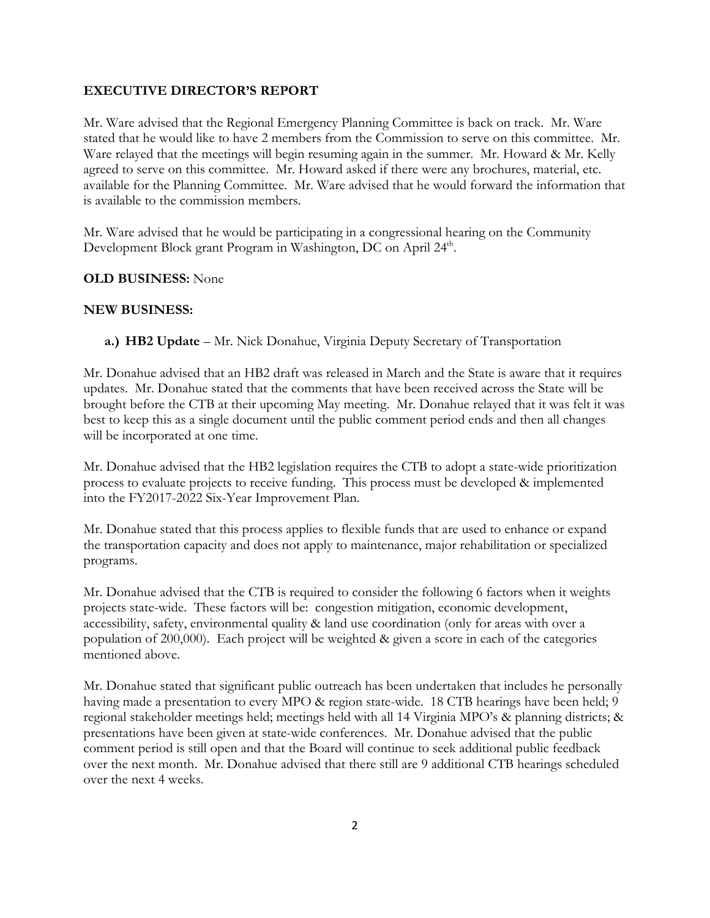### **EXECUTIVE DIRECTOR'S REPORT**

Mr. Ware advised that the Regional Emergency Planning Committee is back on track. Mr. Ware stated that he would like to have 2 members from the Commission to serve on this committee. Mr. Ware relayed that the meetings will begin resuming again in the summer. Mr. Howard & Mr. Kelly agreed to serve on this committee. Mr. Howard asked if there were any brochures, material, etc. available for the Planning Committee. Mr. Ware advised that he would forward the information that is available to the commission members.

Mr. Ware advised that he would be participating in a congressional hearing on the Community Development Block grant Program in Washington, DC on April 24<sup>th</sup>.

### **OLD BUSINESS:** None

### **NEW BUSINESS:**

**a.) HB2 Update** – Mr. Nick Donahue, Virginia Deputy Secretary of Transportation

Mr. Donahue advised that an HB2 draft was released in March and the State is aware that it requires updates. Mr. Donahue stated that the comments that have been received across the State will be brought before the CTB at their upcoming May meeting. Mr. Donahue relayed that it was felt it was best to keep this as a single document until the public comment period ends and then all changes will be incorporated at one time.

Mr. Donahue advised that the HB2 legislation requires the CTB to adopt a state-wide prioritization process to evaluate projects to receive funding. This process must be developed & implemented into the FY2017-2022 Six-Year Improvement Plan.

Mr. Donahue stated that this process applies to flexible funds that are used to enhance or expand the transportation capacity and does not apply to maintenance, major rehabilitation or specialized programs.

Mr. Donahue advised that the CTB is required to consider the following 6 factors when it weights projects state-wide. These factors will be: congestion mitigation, economic development, accessibility, safety, environmental quality & land use coordination (only for areas with over a population of 200,000). Each project will be weighted & given a score in each of the categories mentioned above.

Mr. Donahue stated that significant public outreach has been undertaken that includes he personally having made a presentation to every MPO & region state-wide. 18 CTB hearings have been held; 9 regional stakeholder meetings held; meetings held with all 14 Virginia MPO's & planning districts; & presentations have been given at state-wide conferences. Mr. Donahue advised that the public comment period is still open and that the Board will continue to seek additional public feedback over the next month. Mr. Donahue advised that there still are 9 additional CTB hearings scheduled over the next 4 weeks.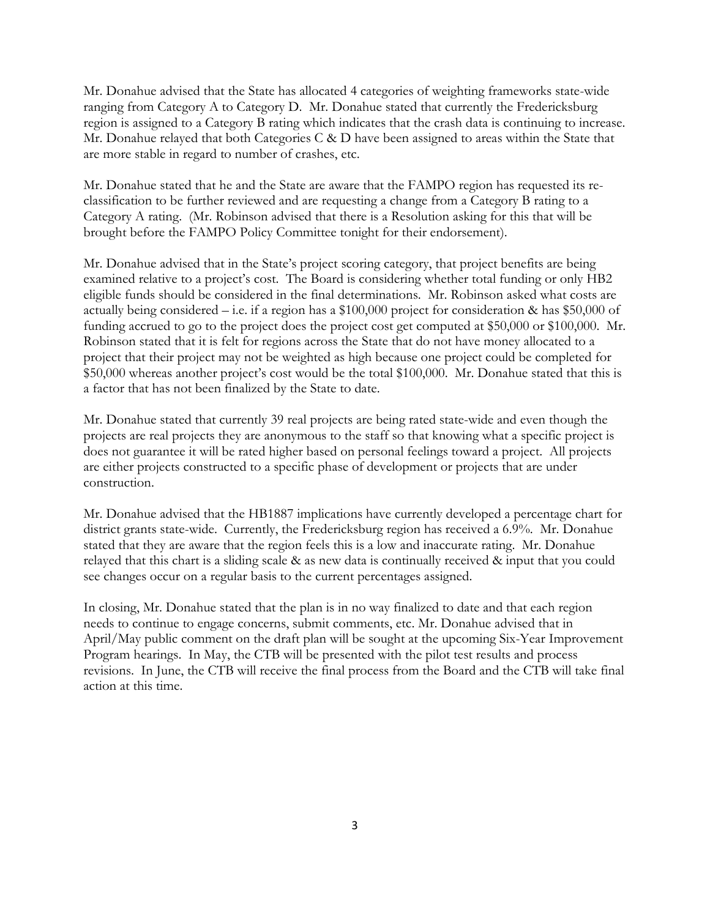Mr. Donahue advised that the State has allocated 4 categories of weighting frameworks state-wide ranging from Category A to Category D. Mr. Donahue stated that currently the Fredericksburg region is assigned to a Category B rating which indicates that the crash data is continuing to increase. Mr. Donahue relayed that both Categories C & D have been assigned to areas within the State that are more stable in regard to number of crashes, etc.

Mr. Donahue stated that he and the State are aware that the FAMPO region has requested its reclassification to be further reviewed and are requesting a change from a Category B rating to a Category A rating. (Mr. Robinson advised that there is a Resolution asking for this that will be brought before the FAMPO Policy Committee tonight for their endorsement).

Mr. Donahue advised that in the State's project scoring category, that project benefits are being examined relative to a project's cost. The Board is considering whether total funding or only HB2 eligible funds should be considered in the final determinations. Mr. Robinson asked what costs are actually being considered – i.e. if a region has a \$100,000 project for consideration & has \$50,000 of funding accrued to go to the project does the project cost get computed at \$50,000 or \$100,000. Mr. Robinson stated that it is felt for regions across the State that do not have money allocated to a project that their project may not be weighted as high because one project could be completed for \$50,000 whereas another project's cost would be the total \$100,000. Mr. Donahue stated that this is a factor that has not been finalized by the State to date.

Mr. Donahue stated that currently 39 real projects are being rated state-wide and even though the projects are real projects they are anonymous to the staff so that knowing what a specific project is does not guarantee it will be rated higher based on personal feelings toward a project. All projects are either projects constructed to a specific phase of development or projects that are under construction.

Mr. Donahue advised that the HB1887 implications have currently developed a percentage chart for district grants state-wide. Currently, the Fredericksburg region has received a 6.9%. Mr. Donahue stated that they are aware that the region feels this is a low and inaccurate rating. Mr. Donahue relayed that this chart is a sliding scale & as new data is continually received & input that you could see changes occur on a regular basis to the current percentages assigned.

In closing, Mr. Donahue stated that the plan is in no way finalized to date and that each region needs to continue to engage concerns, submit comments, etc. Mr. Donahue advised that in April/May public comment on the draft plan will be sought at the upcoming Six-Year Improvement Program hearings. In May, the CTB will be presented with the pilot test results and process revisions. In June, the CTB will receive the final process from the Board and the CTB will take final action at this time.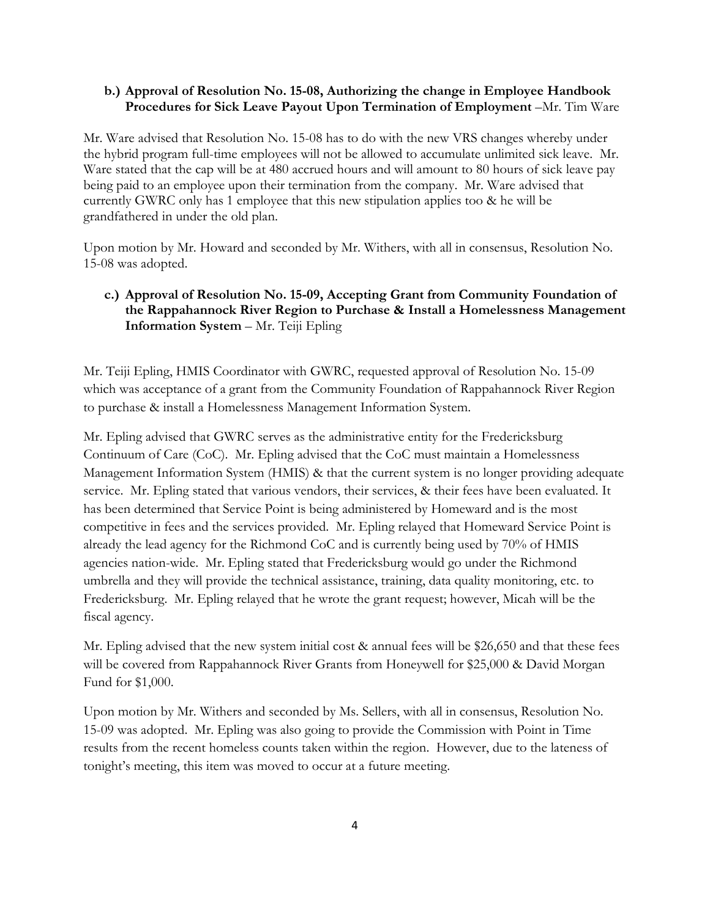## **b.) Approval of Resolution No. 15-08, Authorizing the change in Employee Handbook Procedures for Sick Leave Payout Upon Termination of Employment** –Mr. Tim Ware

Mr. Ware advised that Resolution No. 15-08 has to do with the new VRS changes whereby under the hybrid program full-time employees will not be allowed to accumulate unlimited sick leave. Mr. Ware stated that the cap will be at 480 accrued hours and will amount to 80 hours of sick leave pay being paid to an employee upon their termination from the company. Mr. Ware advised that currently GWRC only has 1 employee that this new stipulation applies too & he will be grandfathered in under the old plan.

Upon motion by Mr. Howard and seconded by Mr. Withers, with all in consensus, Resolution No. 15-08 was adopted.

# **c.) Approval of Resolution No. 15-09, Accepting Grant from Community Foundation of the Rappahannock River Region to Purchase & Install a Homelessness Management Information System** – Mr. Teiji Epling

Mr. Teiji Epling, HMIS Coordinator with GWRC, requested approval of Resolution No. 15-09 which was acceptance of a grant from the Community Foundation of Rappahannock River Region to purchase & install a Homelessness Management Information System.

Mr. Epling advised that GWRC serves as the administrative entity for the Fredericksburg Continuum of Care (CoC). Mr. Epling advised that the CoC must maintain a Homelessness Management Information System (HMIS) & that the current system is no longer providing adequate service. Mr. Epling stated that various vendors, their services, & their fees have been evaluated. It has been determined that Service Point is being administered by Homeward and is the most competitive in fees and the services provided. Mr. Epling relayed that Homeward Service Point is already the lead agency for the Richmond CoC and is currently being used by 70% of HMIS agencies nation-wide. Mr. Epling stated that Fredericksburg would go under the Richmond umbrella and they will provide the technical assistance, training, data quality monitoring, etc. to Fredericksburg. Mr. Epling relayed that he wrote the grant request; however, Micah will be the fiscal agency.

Mr. Epling advised that the new system initial cost & annual fees will be \$26,650 and that these fees will be covered from Rappahannock River Grants from Honeywell for \$25,000 & David Morgan Fund for \$1,000.

Upon motion by Mr. Withers and seconded by Ms. Sellers, with all in consensus, Resolution No. 15-09 was adopted. Mr. Epling was also going to provide the Commission with Point in Time results from the recent homeless counts taken within the region. However, due to the lateness of tonight's meeting, this item was moved to occur at a future meeting.